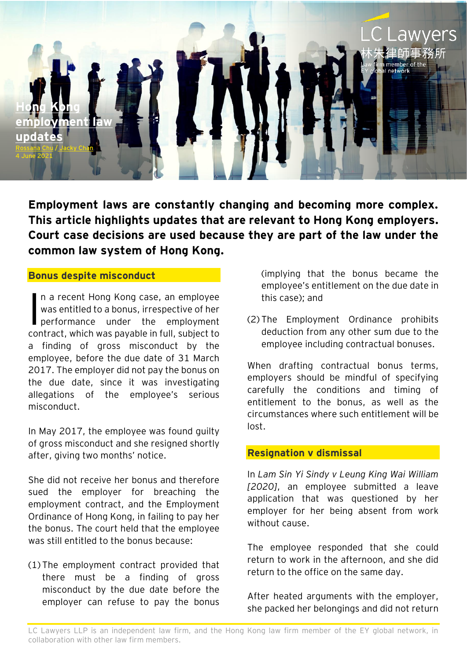

**Employment laws are constantly changing and becoming more complex. This article highlights updates that are relevant to Hong Kong employers. Court case decisions are used because they are part of the law under the common law system of Hong Kong.**

#### **Bonus despite misconduct**

n a recent Hong Kong case, an employee was entitled to a bonus, irrespective of her performance under the employment contract, which was payable in full, subject to a finding of gross misconduct by the employee, before the due date of 31 March 2017. The employer did not pay the bonus on the due date, since it was investigating allegations of the employee's serious misconduct. I

In May 2017, the employee was found guilty of gross misconduct and she resigned shortly after, giving two months' notice.

She did not receive her bonus and therefore sued the employer for breaching the employment contract, and the Employment Ordinance of Hong Kong, in failing to pay her the bonus. The court held that the employee was still entitled to the bonus because:

(1) The employment contract provided that there must be a finding of gross misconduct by the due date before the employer can refuse to pay the bonus (implying that the bonus became the employee's entitlement on the due date in this case); and

(2) The Employment Ordinance prohibits deduction from any other sum due to the employee including contractual bonuses.

When drafting contractual bonus terms, employers should be mindful of specifying carefully the conditions and timing of entitlement to the bonus, as well as the circumstances where such entitlement will be lost.

### **Resignation v dismissal**

In *Lam Sin Yi Sindy v Leung King Wai William [2020]*, an employee submitted a leave application that was questioned by her employer for her being absent from work without cause.

The employee responded that she could return to work in the afternoon, and she did return to the office on the same day.

After heated arguments with the employer, she packed her belongings and did not return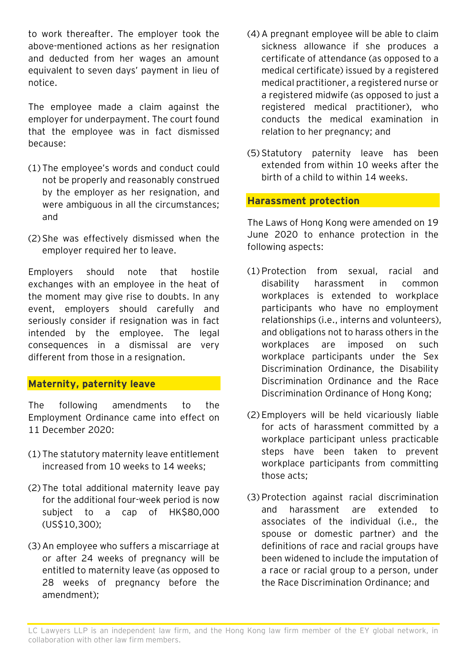to work thereafter. The employer took the above-mentioned actions as her resignation and deducted from her wages an amount equivalent to seven days' payment in lieu of notice.

The employee made a claim against the employer for underpayment. The court found that the employee was in fact dismissed because:

- (1) The employee's words and conduct could not be properly and reasonably construed by the employer as her resignation, and were ambiguous in all the circumstances; and
- (2) She was effectively dismissed when the employer required her to leave.

Employers should note that hostile exchanges with an employee in the heat of the moment may give rise to doubts. In any event, employers should carefully and seriously consider if resignation was in fact intended by the employee. The legal consequences in a dismissal are very different from those in a resignation.

### **Maternity, paternity leave**

The following amendments to the Employment Ordinance came into effect on 11 December 2020:

- (1) The statutory maternity leave entitlement increased from 10 weeks to 14 weeks;
- (2) The total additional maternity leave pay for the additional four-week period is now subject to a cap of HK\$80,000 (US\$10,300);
- (3) An employee who suffers a miscarriage at or after 24 weeks of pregnancy will be entitled to maternity leave (as opposed to 28 weeks of pregnancy before the amendment);
- (4) A pregnant employee will be able to claim sickness allowance if she produces a certificate of attendance (as opposed to a medical certificate) issued by a registered medical practitioner, a registered nurse or a registered midwife (as opposed to just a registered medical practitioner), who conducts the medical examination in relation to her pregnancy; and
- (5) Statutory paternity leave has been extended from within 10 weeks after the birth of a child to within 14 weeks.

## **Harassment protection**

The Laws of Hong Kong were amended on 19 June 2020 to enhance protection in the following aspects:

- (1) Protection from sexual, racial and disability harassment in common workplaces is extended to workplace participants who have no employment relationships (i.e., interns and volunteers), and obligations not to harass others in the workplaces are imposed on such workplace participants under the Sex Discrimination Ordinance, the Disability Discrimination Ordinance and the Race Discrimination Ordinance of Hong Kong;
- (2) Employers will be held vicariously liable for acts of harassment committed by a workplace participant unless practicable steps have been taken to prevent workplace participants from committing those acts;
- (3) Protection against racial discrimination and harassment are extended to associates of the individual (i.e., the spouse or domestic partner) and the definitions of race and racial groups have been widened to include the imputation of a race or racial group to a person, under the Race Discrimination Ordinance; and

LC Lawyers LLP is an independent law firm, and the Hong Kong law firm member of the EY global network, in collaboration with other law firm members.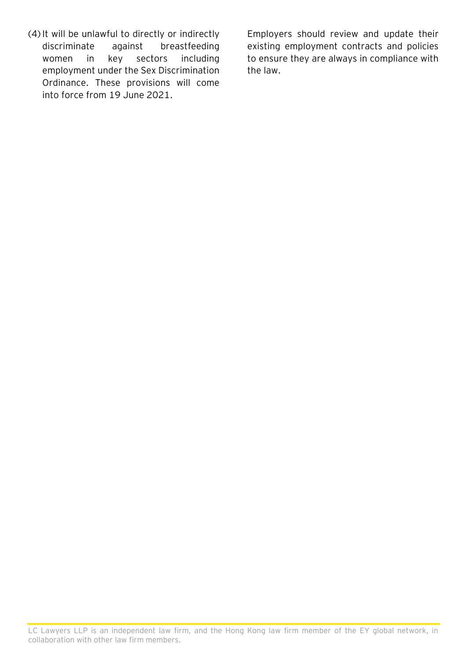(4) It will be unlawful to directly or indirectly discriminate against breastfeeding women in key sectors including employment under the Sex Discrimination Ordinance. These provisions will come into force from 19 June 2021.

Employers should review and update their existing employment contracts and policies to ensure they are always in compliance with the law.